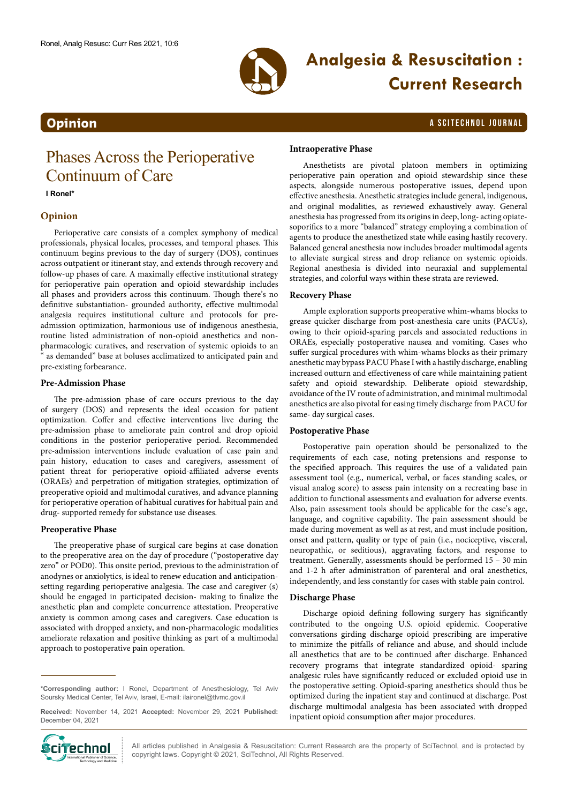

# **Analgesia & Resuscitation : Current Research**

### **Opinion** a SciteChnol journal and the contract of the contract of the contract of the contract of the contract of the contract of the contract of the contract of the contract of the contract of the contract of the contrac

## Phases Across the Perioperative Continuum of Care

#### **I Ronel\***

#### **Opinion**

Perioperative care consists of a complex symphony of medical professionals, physical locales, processes, and temporal phases. This continuum begins previous to the day of surgery (DOS), continues across outpatient or itinerant stay, and extends through recovery and follow-up phases of care. A maximally effective institutional strategy for perioperative pain operation and opioid stewardship includes all phases and providers across this continuum. Though there's no definitive substantiation- grounded authority, effective multimodal analgesia requires institutional culture and protocols for preadmission optimization, harmonious use of indigenous anesthesia, routine listed administration of non-opioid anesthetics and nonpharmacologic curatives, and reservation of systemic opioids to an " as demanded" base at boluses acclimatized to anticipated pain and pre-existing forbearance.

#### **Pre-Admission Phase**

The pre-admission phase of care occurs previous to the day of surgery (DOS) and represents the ideal occasion for patient optimization. Coffer and effective interventions live during the pre-admission phase to ameliorate pain control and drop opioid conditions in the posterior perioperative period. Recommended pre-admission interventions include evaluation of case pain and pain history, education to cases and caregivers, assessment of patient threat for perioperative opioid-affiliated adverse events (ORAEs) and perpetration of mitigation strategies, optimization of preoperative opioid and multimodal curatives, and advance planning for perioperative operation of habitual curatives for habitual pain and drug- supported remedy for substance use diseases.

#### **Preoperative Phase**

The preoperative phase of surgical care begins at case donation to the preoperative area on the day of procedure ("postoperative day zero" or POD0). This onsite period, previous to the administration of anodynes or anxiolytics, is ideal to renew education and anticipationsetting regarding perioperative analgesia. The case and caregiver (s) should be engaged in participated decision- making to finalize the anesthetic plan and complete concurrence attestation. Preoperative anxiety is common among cases and caregivers. Case education is associated with dropped anxiety, and non-pharmacologic modalities ameliorate relaxation and positive thinking as part of a multimodal approach to postoperative pain operation.

**Received:** November 14, 2021 **Accepted:** November 29, 2021 **Published:** December 04, 2021



**Intraoperative Phase**

Anesthetists are pivotal platoon members in optimizing perioperative pain operation and opioid stewardship since these aspects, alongside numerous postoperative issues, depend upon effective anesthesia. Anesthetic strategies include general, indigenous, and original modalities, as reviewed exhaustively away. General anesthesia has progressed from its origins in deep, long- acting opiatesoporifics to a more "balanced" strategy employing a combination of agents to produce the anesthetized state while easing hastily recovery. Balanced general anesthesia now includes broader multimodal agents to alleviate surgical stress and drop reliance on systemic opioids. Regional anesthesia is divided into neuraxial and supplemental strategies, and colorful ways within these strata are reviewed.

#### **Recovery Phase**

Ample exploration supports preoperative whim-whams blocks to grease quicker discharge from post-anesthesia care units (PACUs), owing to their opioid-sparing parcels and associated reductions in ORAEs, especially postoperative nausea and vomiting. Cases who suffer surgical procedures with whim-whams blocks as their primary anesthetic may bypass PACU Phase I with a hastily discharge, enabling increased outturn and effectiveness of care while maintaining patient safety and opioid stewardship. Deliberate opioid stewardship, avoidance of the IV route of administration, and minimal multimodal anesthetics are also pivotal for easing timely discharge from PACU for same- day surgical cases.

#### **Postoperative Phase**

Postoperative pain operation should be personalized to the requirements of each case, noting pretensions and response to the specified approach. This requires the use of a validated pain assessment tool (e.g., numerical, verbal, or faces standing scales, or visual analog score) to assess pain intensity on a recreating base in addition to functional assessments and evaluation for adverse events. Also, pain assessment tools should be applicable for the case's age, language, and cognitive capability. The pain assessment should be made during movement as well as at rest, and must include position, onset and pattern, quality or type of pain (i.e., nociceptive, visceral, neuropathic, or seditious), aggravating factors, and response to treatment. Generally, assessments should be performed 15 – 30 min and 1-2 h after administration of parenteral and oral anesthetics, independently, and less constantly for cases with stable pain control.

#### **Discharge Phase**

Discharge opioid defining following surgery has significantly contributed to the ongoing U.S. opioid epidemic. Cooperative conversations girding discharge opioid prescribing are imperative to minimize the pitfalls of reliance and abuse, and should include all anesthetics that are to be continued after discharge. Enhanced recovery programs that integrate standardized opioid- sparing analgesic rules have significantly reduced or excluded opioid use in the postoperative setting. Opioid-sparing anesthetics should thus be optimized during the inpatient stay and continued at discharge. Post discharge multimodal analgesia has been associated with dropped inpatient opioid consumption after major procedures.

All articles published in Analgesia & Resuscitation: Current Research are the property of SciTechnol, and is protected by  $\text{Cip}$  **Communishers of Science 1998** All articles published in Analgesia & Resuscitation: Current Reserved.  $\text{Cip}$ 

**<sup>\*</sup>Corresponding author:** I Ronel, Department of Anesthesiology, Tel Aviv Soursky Medical Center, Tel Aviv, Israel, E-mail: ilaironel@tlvmc.gov.il